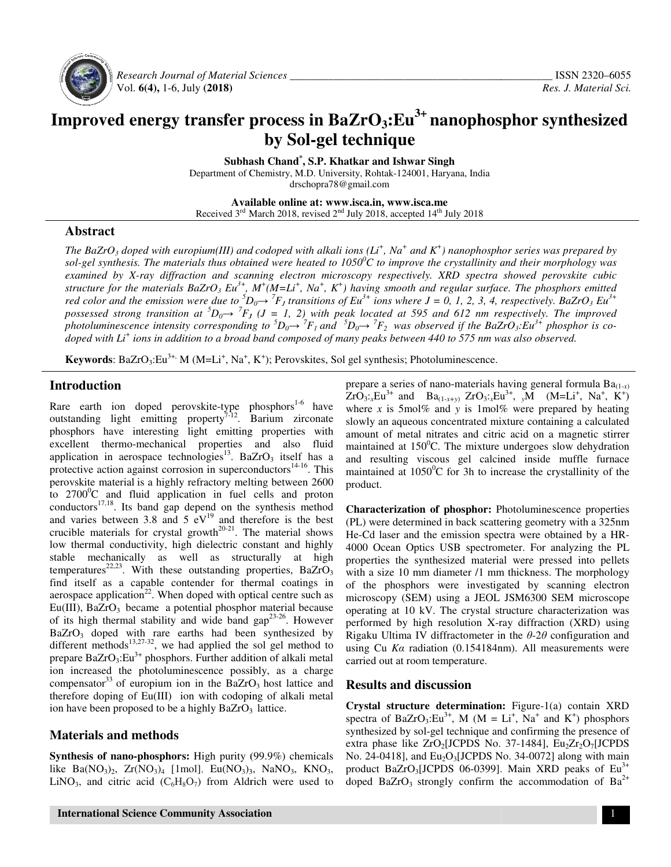

 *Research Journal of Material Sciences Sciences \_\_\_\_\_\_\_\_\_\_\_\_\_\_\_\_\_\_\_\_\_\_\_\_\_\_\_\_\_\_\_\_\_\_\_\_\_\_\_\_\_* Vol. **6(4),** 1-6, July **(2018)**

# **Improved energy transfer process in BaZrO process in BaZrO3:Eu3+ nanophosphor synthesized by Sol-gel technique**

**Subhash Chand \* , S.P. Khatkar and Ishwar Singh** 

Department of Chemistry, M.D. University, M.D. Rohtak-124001, Haryana, India

drschopra78@gmail.com

**Available online at: www.isca.in, www.isca.me**  Received 3<sup>rd</sup> March 2018, revised 2<sup>nd</sup> July 2018, accepted 14<sup>th</sup> July 2018

## **Abstract**

*The BaZrO<sub>3</sub> doped with europium(III)* and codoped with alkali ions  $(Li^+, Na^+$  and  $K^+$ ) nanophosphor series was prepared by *sol-gel synthesis. The materials thus obtained were heated to 1050<sup>o</sup>C to improve the crystallinity and their morphology was examined by X-ray diffraction and scanning electron microscopy respectively. XRD spectra showed perovskite cubic microscopy perovskite cubic structure for the materials BaZrO3 Eu3+, M red color and the emission were due to <sup>5</sup>D possessed strong transition at*  ${}^5D_0 \rightarrow {}^7F_J$  (*J* = 1, 2) with peak located at 595 and 612 nm respectively. The improved photoluminescence intensity corresponding to  ${}^5D_0\rightarrow {}^7F_1$  and  ${}^5D_0\rightarrow {}^7F_2$  was observed if the BaZrO<sub>3</sub>:Eu<sup>3+</sup> phosphor is co*doped with Li<sup>+</sup> ions in addition to a broad band composed of many peaks between 440 to 575 nm was also observed. M<sup>+</sup> (M=Li<sup>+</sup> , Na<sup>+</sup> , K<sup>+</sup> ) having smooth and regular surface. The phosphors emitted*   $D_0 \rightarrow {}^7F_J$  transitions of Eu<sup>3+</sup> ions where  $J = 0, I, 2, 3, 4$ , respectively. BaZrO *emitted*   $= 0, 1, 2, 3, 4$ , respectively. BaZrO<sub>3</sub>  $Eu^{3+}$ 

**Keywords:** BaZrO<sub>3</sub>:Eu<sup>3+,</sup> M (M=Li<sup>+</sup>, Na<sup>+</sup>, K<sup>+</sup>); Perovskites, Sol gel synthesis; Photoluminescence.

# **Introduction**

Rare earth ion doped perovskite-type phosphors<sup>1-6</sup> have outstanding light emitting property<sup>7-12</sup>. Barium zirconate phosphors have interesting light emitting properties with excellent thermo-mechanical properties and also fluid outstanding light emitting property<sup>7-12</sup>. Barium zirconate phosphors have interesting light emitting properties with excellent thermo-mechanical properties and also fluid application in aerospace technologies<sup>13</sup>. BaZrO<sub></sub> protective action against corrosion in superconductors<sup>14-16</sup>. This perovskite material is a highly refractory melting between 2600 to  $2700^{\circ}$ C and fluid application in fuel cells and proton  $conductors<sup>17,18</sup>$ . Its band gap depend on the synthesis method and varies between 3.8 and 5  $eV^{19}$  and therefore is the best crucible materials for crystal growth<sup>20-21</sup>. The material shows low thermal conductivity, high dielectric constant and highly stable mechanically as well as structurally at high temperatures<sup>22,23</sup>. With these outstanding properties, BaZrO<sub>3</sub> find itself as a capable contender for thermal coatings in aerospace application $22$ . When doped with optical centre such as Eu(III),  $BaZrO<sub>3</sub>$  became a potential phosphor material because of its high thermal stability and wide band gap<sup>23-26</sup>. However  $BaZrO<sub>3</sub>$  doped with rare earths had been synthesized by different methods<sup>13,27-32</sup>, we had applied the sol gel method to prepare BaZrO<sub>3</sub>:Eu<sup>3+</sup> phosphors. Further addition of alkali metal ion increased the photoluminescence possibly, as a charge compensator<sup>33</sup> of europium ion in the  $BaZrO<sub>3</sub>$  host lattice and therefore doping of Eu(III) ion with codoping of alkali metal ion have been proposed to be a highly  $BaZrO<sub>3</sub>$  lattice. <sup>9</sup>C and fluid application in fuel cells and proton rs<sup>17,18</sup>. Its band gap depend on the synthesis method es between 3.8 and 5 eV<sup>19</sup> and therefore is the best materials for crystal growth<sup>20-21</sup>. The material shows mal doped with rare earths had been synthesized methods<sup>13,27-32</sup>, we had applied the sol gel method aZrO<sub>3</sub>:Eu<sup>3+</sup> phosphors. Further addition of alkali m ased the photoluminescence possibly, as a cha

## **Materials and methods**

**Synthesis of nano-phosphors:** High purity (99.9%) chemicals **Synthesis of nano-phosphors:** High purity (99.9%) chemicals like  $Ba(NO_3)_2$ ,  $Zr(NO_3)_4$  [1mol],  $Eu(NO_3)_3$ , NaNO<sub>3</sub>, KNO<sub>3</sub>, LiNO<sub>3</sub>, and citric acid  $(C_6H_8O_7)$  from Aldrich were used to

 $ZrO_3$ ;<sub>x</sub>Eu<sup>3+</sup> and Ba<sub>(1-x+y)</sub>  $ZrO_3$ ;<sub>x</sub>Eu<sup>3+</sup>, <sub>y</sub>M (M=Li<sup>+</sup>, Na<sup>+</sup>, K<sup>+</sup>) where *x* is 5mol% and *y* is 1mol% were prepared by heating slowly an aqueous concentrated mixture containing a calculated amount of metal nitrates and citric acid on a magnetic stirrer maintained at  $150^{\circ}$ C. The mixture undergoes slow dehydration and resulting viscous gel calcined inside muffle furnace maintained at  $1050^{\circ}$ C for 3h to increase the crystallinity of the product. prepare a series of nano-materials having general formula  $Ba_{(1-x)}$ slowly an aqueous concentrated mixture containing a calculated<br>amount of metal nitrates and citric acid on a magnetic stirrer<br>maintained at 150<sup>0</sup>C. The mixture undergoes slow dehydration<br>and resulting viscous gel calcined

ite-type phosphors<sup>16</sup> have prepare a series of nano-materials having general formula Ba<br>
ite-type phosphors<sup>16</sup> have where x is 5mol% and y is 1mol% were prepared by beat<br>
erry<sup>7-12</sup>. Barium zirconate where x is 5mol% an **Characterization of phosphor:** Photoluminescence properties (PL) were determined in back scattering geometry with a 325nm He-Cd laser and the emission spectra were obtained by a HR 4000 Ocean Optics USB spectrometer. For analyzing the PL properties the synthesized material were pressed into pellets properties the synthesized material were pressed into pellets with a size 10 mm diameter /1 mm thickness. The morphology of the phosphors were investigated by scanning electron microscopy (SEM) using a JEOL JSM6300 SEM microscope operating at 10 kV. The crystal structure characterization was performed by high resolution X-ray diffraction (XRD) using Rigaku Ultima IV diffractometer in the *θ*-2*θ* configuration and using Cu *Kα* radiation (0.154184nm). All measurements were carried out at room temperature. phosphors were investigated by scanning elopy (SEM) using a JEOL JSM6300 SEM microstal at 10 kV. The crystal structure characterization of by high resolution X-ray diffraction (XRD)

#### **Results and discussion**

**Crystal structure determination:** Figure-1(a) contain XRD spectra of BaZrO<sub>3</sub>:Eu<sup>3+</sup>, M (M = Li<sup>+</sup>, Na<sup>+</sup> and K<sup>+</sup>) phosphors synthesized by sol-gel technique and confirming the presence of synthesized by sol-gel technique and confirming the presence of extra phase like  $ZrO_2[JCPDS$  No. 37-1484],  $Eu_2Zr_2O_7[JCPDS]$ No. 24-0418], and  $Eu<sub>2</sub>O<sub>3</sub>[JCPDS No. 34-0072]$  along with main product BaZrO<sub>3</sub>[JCPDS 06-0399]. Main XRD peaks of  $Eu^{3+}$ doped BaZrO<sub>3</sub> strongly confirm the accommodation of Ba<sup>2+</sup>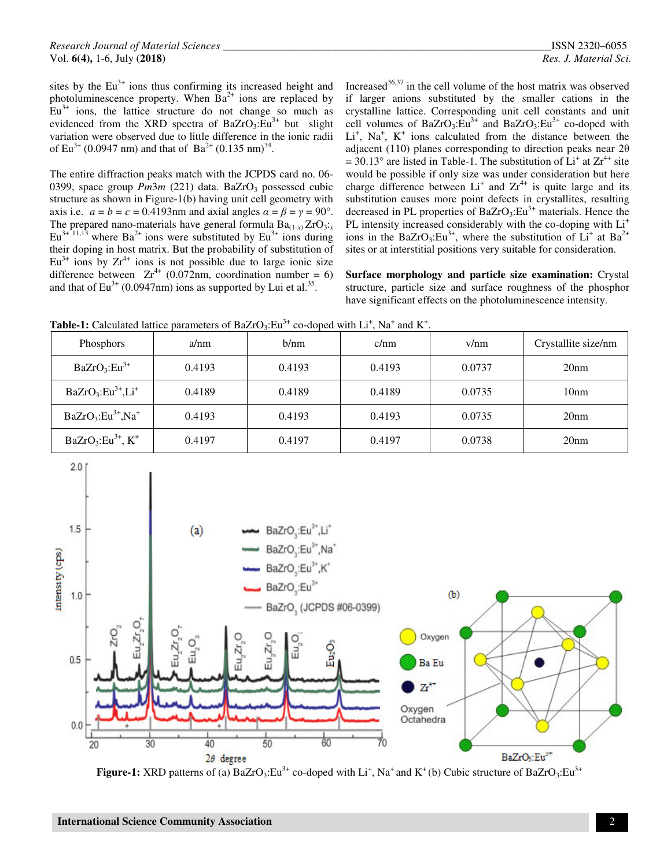sites by the  $Eu<sup>3+</sup>$  ions thus confirming its increased height and photoluminescence property. When  $Ba^{2+}$  ions are replaced by  $Eu^{3+}$  ions, the lattice structure do not change so much as evidenced from the XRD spectra of BaZrO<sub>3</sub>: $Eu^{3+}$  but slight variation were observed due to little difference in the ionic radii of Eu<sup>3+</sup> (0.0947 nm) and that of Ba<sup>2+</sup> (0.135 nm)<sup>34</sup>.

The entire diffraction peaks match with the JCPDS card no. 06- 0399, space group *Pm3m* (221) data. BaZrO<sub>3</sub> possessed cubic structure as shown in Figure-1(b) having unit cell geometry with axis i.e.  $a = b = c = 0.4193$  nm and axial angles  $\alpha = \beta = \gamma = 90^\circ$ . The prepared nano-materials have general formula  $Ba_{(1-x)}ZrO_{3-x}$  $Eu^{3+11,13}$  where  $Ba^{2+}$  ions were substituted by  $Eu^{3+}$  ions during their doping in host matrix. But the probability of substitution of  $Eu^{3+}$  ions by  $Zr^{4+}$  ions is not possible due to large ionic size difference between  $Zr^{4+}$  (0.072nm, coordination number = 6) and that of  $Eu^{3+}$  (0.0947nm) ions as supported by Lui et al.<sup>35</sup>.

Increased $36,37$  in the cell volume of the host matrix was observed if larger anions substituted by the smaller cations in the crystalline lattice. Corresponding unit cell constants and unit cell volumes of BaZrO<sub>3</sub>:Eu<sup>3+</sup> and BaZrO<sub>3</sub>:Eu<sup>3+</sup> co-doped with Li<sup>+</sup>, Na<sup>+</sup>, K<sup>+</sup> ions calculated from the distance between the adjacent (110) planes corresponding to direction peaks near 2θ  $=$  30.13° are listed in Table-1. The substitution of  $\dot{L}$ <sup>†</sup> at Zr<sup>4+</sup> site would be possible if only size was under consideration but here charge difference between  $Li<sup>+</sup>$  and  $Zr<sup>4+</sup>$  is quite large and its substitution causes more point defects in crystallites, resulting decreased in PL properties of  $BaZrO<sub>3</sub>:Eu<sup>3+</sup>$  materials. Hence the PL intensity increased considerably with the co-doping with  $Li^+$ ions in the BaZrO<sub>3</sub>:Eu<sup>3+</sup>, where the substitution of  $Li<sup>+</sup>$  at Ba<sup>2+</sup> sites or at interstitial positions very suitable for consideration.

**Surface morphology and particle size examination:** Crystal structure, particle size and surface roughness of the phosphor have significant effects on the photoluminescence intensity.

**Table-1:** Calculated lattice parameters of BaZrO<sub>3</sub>: Eu<sup>3+</sup> co-doped with Li<sup>+</sup>, Na<sup>+</sup> and K<sup>+</sup>.

| Phosphors               | a/nm   | b/nm   | c/nm   | v/nm   | Crystallite size/nm |
|-------------------------|--------|--------|--------|--------|---------------------|
| $BaZrO_3:Eu^{3+}$       | 0.4193 | 0.4193 | 0.4193 | 0.0737 | 20nm                |
| $BaZrO3:Eu3+, Li+$      | 0.4189 | 0.4189 | 0.4189 | 0.0735 | 10 <sub>nm</sub>    |
| $BaZrO_3:Eu^{3+}Na^{+}$ | 0.4193 | 0.4193 | 0.4193 | 0.0735 | 20nm                |
| $BaZrO3:Eu3+, K+$       | 0.4197 | 0.4197 | 0.4197 | 0.0738 | 20nm                |



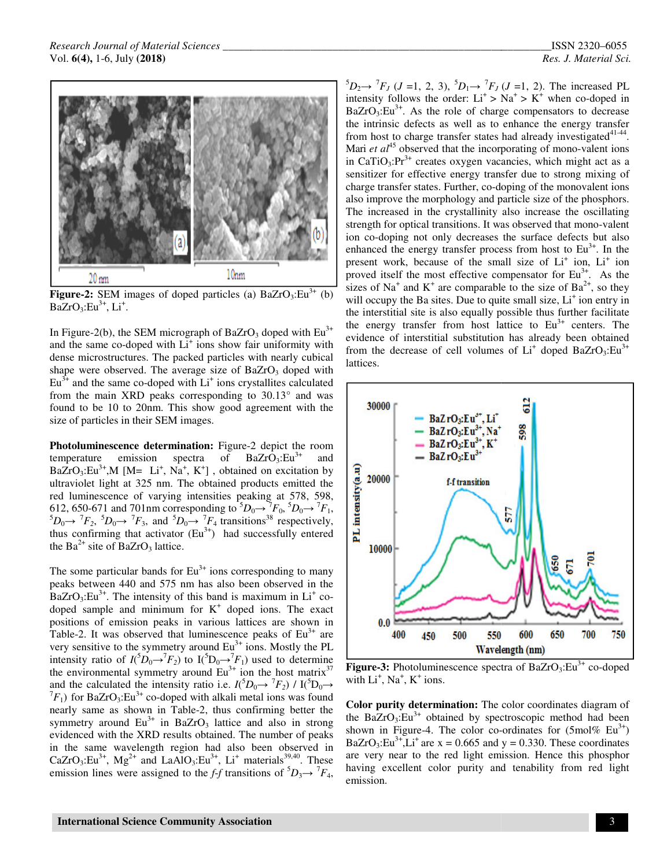

**Figure-2:** SEM images of doped particles (a)  $BaZrO_3:Eu^{3+}$  (b)  $BaZrO<sub>3</sub>:Eu<sup>3+</sup>, Li<sup>+</sup>.$ 

In Figure-2(b), the SEM micrograph of BaZrO<sub>3</sub> doped with  $Eu^{3+}$ and the same co-doped with Li<sup>+</sup> ions show fair uniformity with and the same co-doped with  $Li<sup>+</sup>$  ions show fair uniformity with dense microstructures. The packed particles with nearly cubical shape were observed. The average size of BaZrO<sub>3</sub> doped with  $Eu^{3+}$  and the same co-doped with  $Li^+$  ions crystallites calculated from the main XRD peaks corresponding to 30.13° and was found to be 10 to 20nm. This show good agreement with the size of particles in their SEM images. Eu<sup>3+</sup> and the same co-doped with Li<sup>+</sup> ions crystallites calculated<br>from the main XRD peaks corresponding to 30.13° and was<br>found to be 10 to 20nm. This show good agreement with the<br>size of particles in their SEM images.

**Photoluminescence determination:** Figure-2 depict the room temperature emission spectra of BaZrO<sub>3</sub>:Eu<sup>3+</sup>  $BaZrO_3:Eu^{3+}$ , M [M= Li<sup>+</sup>, Na<sup>+</sup>, K<sup>+</sup>], obtained on excitation by ultraviolet light at 325 nm. The obtained products emitted the ultraviolet light at 325 nm. The obtained products emitted the red luminescence of varying intensities peaking at 578, 598, 612, 650-671 and 701nm corresponding to  $5D$  ${}^5D_0 \rightarrow {}^7F_2$ ,  ${}^5D_0 \rightarrow {}^7F_3$ , and  ${}^5D_0 \rightarrow {}^7F_4$  transition thus confirming that activator  $(Eu<sup>3+</sup>)$  had successfully entered the  $Ba^{2+}$  site of BaZrO<sub>3</sub> lattice.  $_{0}\rightarrow$ <sup>7</sup> $F_{0}$ ,<sup>5</sup> $D_{0}\rightarrow$ <sup>7</sup> $F_{1}$ , transitions <sup>38</sup> respectively,

The some particular bands for  $Eu^{3+}$  ions corresponding to many peaks between 440 and 575 nm has also been observed in the  $BaZrO<sub>3</sub>:Eu<sup>3+</sup>$ . The intensity of this band is maximum in  $Li<sup>+</sup>$  codoped sample and minimum for  $K^+$  doped ions. The exact positions of emission peaks in various lattices are shown in positions of emission peaks in various lattices are shown in Table-2. It was observed that luminescence peaks of  $Eu^{3+}$  are very sensitive to the symmetry around  $Eu^{3+}$  ions. Mostly the PL very sensitive to the symmetry around Eu<sup>3+</sup> ions. Mostly the PL intensity ratio of  $I(\bar{5}D_0 \rightarrow T_f)$  to  $I(\bar{5}D_0 \rightarrow T_f)$  used to determine the environmental symmetry around  $Eu^{3+}$  ion the host matrix<sup>37</sup> and the calculated the intensity ratio i.e.  $I(^5D_0 \rightarrow {}^7F_2) / I(^5D_0 \rightarrow$  ${}^{7}F_{1}$ ) for BaZrO<sub>3</sub>:Eu<sup>3+</sup> co-doped with alkali metal ions was found nearly same as shown in Table-2, thus confirming better the symmetry around  $Eu^{3+}$  in BaZrO<sub>3</sub> lattice and also in strong evidenced with the XRD results obtained. The number of peaks in the same wavelength region had also been observed in  $F_1$ ) for BaZrO<sub>3</sub>:Eu<sup>3+</sup> co-doped with alkali metal ions was found nearly same as shown in Table-2, thus confirming better the symmetry around Eu<sup>3+</sup> in BaZrO<sub>3</sub> lattice and also in strong evidenced with the XRD results emission lines were assigned to the *f-f* transitions of  ${}^5D_3 \rightarrow {}^7F_4$ , strated that activator (Eu<sup>3+</sup>) had successfully enterposted in band for Eu<sup>3+</sup> ions corresponding to m.<br>440 and 575 nm has also been observed in he intensity of this band is maximum in Li<sup>+</sup>

 ${}^{5}D_{2} \rightarrow {}^{7}F_{J}$  (*J* =1, 2, 3),  ${}^{5}D_{1} \rightarrow {}^{7}F_{J}$  (*J* =1, 2). The increased PL intensity follows the order:  $Li^+$  >  $Na^+$  >  $K^+$  when co-doped in  $BaZrO<sub>3</sub>:Eu<sup>3+</sup>$ . As the role of charge compensators to decrease the intrinsic defects as well as to enhance the energy transfer the intrinsic defects as well as to enhance the energy transfer from host to charge transfer states had already investigated<sup>41-44</sup>. Mari *et al*<sup>45</sup> observed that the incorporating of mono-valent ions in CaTiO<sub>3</sub>:Pr<sup>3+</sup> creates oxygen vacancies, which might act as a sensitizer for effective energy transfer due to strong mixing of charge transfer states. Further, co-doping of the monovalent ions also improve the morphology and particle size of the phosphors. The increased in the crystallinity also increase the oscillating The increased in the crystallinity also increase the oscillating<br>strength for optical transitions. It was observed that mono-valent ion co-doping not only decreases the surface defects but also ion co-doping not only decreases the surface defects but also enhanced the energy transfer process from host to Eu<sup>3+</sup>. In the present work, because of the small size of Li<sup>+</sup> ion, Li<sup>+</sup> ion proved itself the most effective compensator for  $Eu^{3+}$ . As the sizes of Na<sup>+</sup> and K<sup>+</sup> are comparable to the size of Ba<sup>2+</sup>, so they will occupy the Ba sites. Due to quite small size, Li<sup>+</sup> ion entry in the interstitial site is also equally possible thus further facilitate the interstitial site is also equally possible thus further facilitate the energy transfer from host lattice to  $Eu^{3+}$  centers. The evidence of interstitial substitution has already been obtained evidence of interstitial substitution has already been obtained<br>from the decrease of cell volumes of  $Li^+$  doped BaZrO<sub>3</sub>:Eu<sup>3+</sup> lattices. vacancies, which might act as a<br>transfer due to strong mixing of<br>o-doping of the monovalent ions<br>nd particle size of the phosphors.

*\_\_\_\_\_\_\_\_\_\_\_\_\_\_\_\_\_\_\_\_\_\_\_\_\_\_\_\_\_\_\_\_\_\_\_\_\_\_\_\_\_\_\_\_\_\_*



Figure-3: Photoluminescence spectra of BaZrO<sub>3</sub>:Eu<sup>3+</sup> co-doped with  $Li^+$ ,  $Na^+$ ,  $K^+$  ions.

**Color purity determination:** The color coordinates diagram of the BaZrO<sub>3</sub>: $Eu^{3+}$  obtained by spectroscopic method had been shown in Figure-4. The color co-ordinates for  $(5 \text{mol}\% \text{ Eu}^{3+})$ BaZrO<sub>3</sub>:Eu<sup>3+</sup>,Li<sup>+</sup> are x = 0.665 and y = 0.330. These coordinates are very near to the red light emission. Hence this phosphor having excellent color purity and tenability from red light emission. The color coordinates diagram of<br>spectroscopic method had been<br>r co-ordinates for  $(5 \text{mol\%} \text{ Eu}^{3+})$  $\text{tr}O_3$ : Eu<sup>3+</sup>, Li<sup>+</sup> are x = 0.665 and y = 0.330. These coordinates very near to the red light emission. Hence this phosphor ng excellent color purity and tenability from red light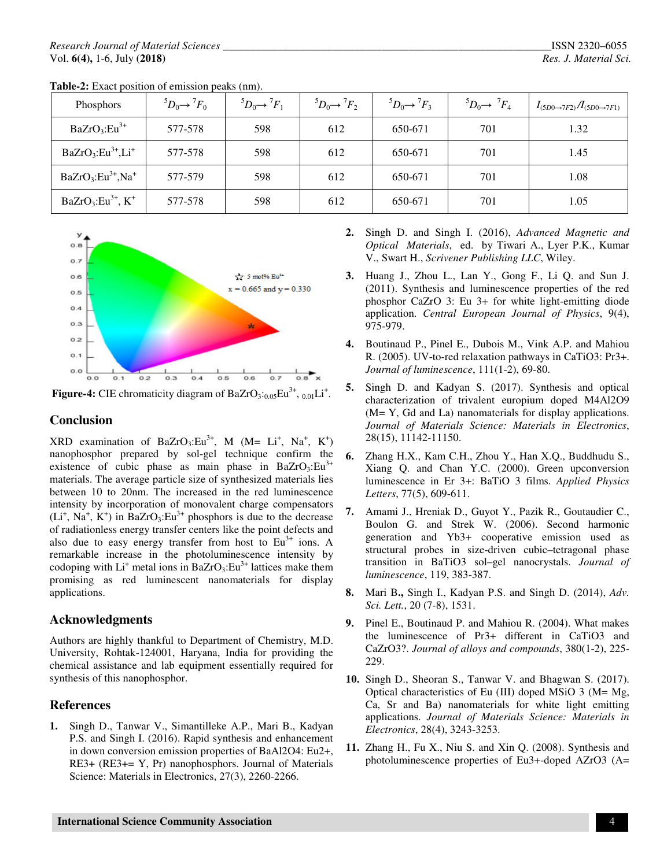| Phosphors                           | ${}^5D_0 \rightarrow {}^7F_0$ | ${}^5D_0 \rightarrow {}^7F_1$ | ${}^5D_0 \rightarrow {}^7F_2$ | ${}^5D_0 \rightarrow {}^7F_3$ | ${}^5D_0 \rightarrow {}^7F_4$ | $I_{(5D0\rightarrow7F2)}/I_{(5D0\rightarrow7F1)}$ |
|-------------------------------------|-------------------------------|-------------------------------|-------------------------------|-------------------------------|-------------------------------|---------------------------------------------------|
| $BaZrO_3:Eu^{3+}$                   | 577-578                       | 598                           | 612                           | 650-671                       | 701                           | 1.32                                              |
| $BaZrO3:Eu3+, Li+$                  | 577-578                       | 598                           | 612                           | 650-671                       | 701                           | 1.45                                              |
| $BaZrO_3:Eu^{3+}$ , Na <sup>+</sup> | 577-579                       | 598                           | 612                           | 650-671                       | 701                           | 1.08                                              |
| $BaZrO3:Eu3+, K+$                   | 577-578                       | 598                           | 612                           | 650-671                       | 701                           | 1.05                                              |

**Table-2:** Exact position of emission peaks (nm).



**Figure-4:** CIE chromaticity diagram of  $BaZrO<sub>3</sub>:<sub>0.05</sub>Eu<sup>3+</sup>, <sub>0.01</sub>Li<sup>+</sup>.$ 

## **Conclusion**

 $XRD$  examination of BaZrO<sub>3</sub>:Eu<sup>3+</sup>, M (M= Li<sup>+</sup>, Na<sup>+</sup>, K<sup>+</sup>) nanophosphor prepared by sol-gel technique confirm the existence of cubic phase as main phase in BaZrO<sub>3</sub>:Eu<sup>3+</sup> materials. The average particle size of synthesized materials lies between 10 to 20nm. The increased in the red luminescence intensity by incorporation of monovalent charge compensators  $(L<sup>i</sup>, Na<sup>+</sup>, K<sup>+</sup>)$  in BaZrO<sub>3</sub>:Eu<sup>3+</sup> phosphors is due to the decrease of radiationless energy transfer centers like the point defects and also due to easy energy transfer from host to  $Eu^{3+}$  ions. A remarkable increase in the photoluminescence intensity by codoping with  $Li^+$  metal ions in BaZrO<sub>3</sub>: $Eu^{3+}$  lattices make them promising as red luminescent nanomaterials for display applications.

# **Acknowledgments**

Authors are highly thankful to Department of Chemistry, M.D. University, Rohtak-124001, Haryana, India for providing the chemical assistance and lab equipment essentially required for synthesis of this nanophosphor.

# **References**

**1.** Singh D., Tanwar V., Simantilleke A.P., Mari B., Kadyan P.S. and Singh I. (2016). Rapid synthesis and enhancement in down conversion emission properties of BaAl2O4: Eu2+, RE3+ (RE3+= Y, Pr) nanophosphors. Journal of Materials Science: Materials in Electronics, 27(3), 2260-2266.

- **2.** Singh D. and Singh I. (2016), *Advanced Magnetic and Optical Materials*, ed. by Tiwari A., Lyer P.K., Kumar V., Swart H., *Scrivener Publishing LLC*, Wiley.
- **3.** Huang J., Zhou L., Lan Y., Gong F., Li Q. and Sun J. (2011). Synthesis and luminescence properties of the red phosphor CaZrO 3: Eu 3+ for white light-emitting diode application. *Central European Journal of Physics*, 9(4), 975-979.
- **4.** Boutinaud P., Pinel E., Dubois M., Vink A.P. and Mahiou R. (2005). UV-to-red relaxation pathways in CaTiO3: Pr3+. *Journal of luminescence*, 111(1-2), 69-80.
- **5.** Singh D. and Kadyan S. (2017). Synthesis and optical characterization of trivalent europium doped M4Al2O9 (M= Y, Gd and La) nanomaterials for display applications. *Journal of Materials Science: Materials in Electronics*, 28(15), 11142-11150.
- **6.** Zhang H.X., Kam C.H., Zhou Y., Han X.Q., Buddhudu S., Xiang Q. and Chan Y.C. (2000). Green upconversion luminescence in Er 3+: BaTiO 3 films. *Applied Physics Letters*, 77(5), 609-611.
- **7.** Amami J., Hreniak D., Guyot Y., Pazik R., Goutaudier C., Boulon G. and Strek W. (2006). Second harmonic generation and Yb3+ cooperative emission used as structural probes in size-driven cubic–tetragonal phase transition in BaTiO3 sol–gel nanocrystals. *Journal of luminescence*, 119, 383-387.
- **8.** Mari B**.,** Singh I., Kadyan P.S. and Singh D. (2014), *Adv. Sci. Lett.*, 20 (7-8), 1531.
- **9.** Pinel E., Boutinaud P. and Mahiou R. (2004). What makes the luminescence of Pr3+ different in CaTiO3 and CaZrO3?. *Journal of alloys and compounds*, 380(1-2), 225- 229.
- **10.** Singh D., Sheoran S., Tanwar V. and Bhagwan S. (2017). Optical characteristics of Eu (III) doped MSiO 3 (M= Mg, Ca, Sr and Ba) nanomaterials for white light emitting applications. *Journal of Materials Science: Materials in Electronics*, 28(4), 3243-3253.
- **11.** Zhang H., Fu X., Niu S. and Xin Q. (2008). Synthesis and photoluminescence properties of Eu3+-doped AZrO3 (A=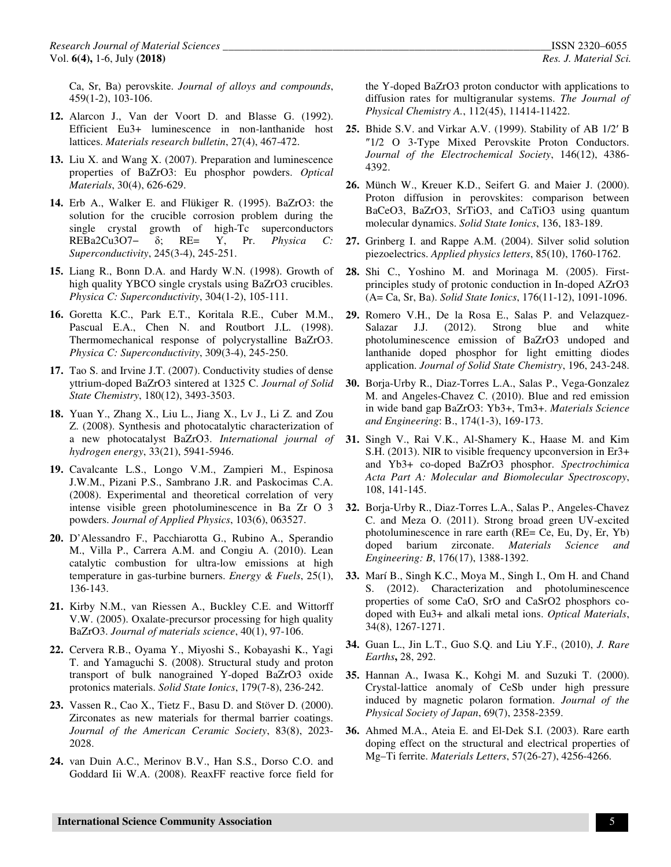Ca, Sr, Ba) perovskite. *Journal of alloys and compounds*, 459(1-2), 103-106.

- **12.** Alarcon J., Van der Voort D. and Blasse G. (1992). Efficient Eu3+ luminescence in non-lanthanide host lattices. *Materials research bulletin*, 27(4), 467-472.
- **13.** Liu X. and Wang X. (2007). Preparation and luminescence properties of BaZrO3: Eu phosphor powders. *Optical Materials*, 30(4), 626-629.
- **14.** Erb A., Walker E. and Flükiger R. (1995). BaZrO3: the solution for the crucible corrosion problem during the single crystal growth of high-Tc superconductors REBa2Cu3O7− δ; RE= Y, Pr. *Physica C: Superconductivity*, 245(3-4), 245-251.
- **15.** Liang R., Bonn D.A. and Hardy W.N. (1998). Growth of high quality YBCO single crystals using BaZrO3 crucibles. *Physica C: Superconductivity*, 304(1-2), 105-111.
- **16.** Goretta K.C., Park E.T., Koritala R.E., Cuber M.M., Pascual E.A., Chen N. and Routbort J.L. (1998). Thermomechanical response of polycrystalline BaZrO3. *Physica C: Superconductivity*, 309(3-4), 245-250.
- **17.** Tao S. and Irvine J.T. (2007). Conductivity studies of dense yttrium-doped BaZrO3 sintered at 1325 C. *Journal of Solid State Chemistry*, 180(12), 3493-3503.
- **18.** Yuan Y., Zhang X., Liu L., Jiang X., Lv J., Li Z. and Zou Z. (2008). Synthesis and photocatalytic characterization of a new photocatalyst BaZrO3. *International journal of hydrogen energy*, 33(21), 5941-5946.
- **19.** Cavalcante L.S., Longo V.M., Zampieri M., Espinosa J.W.M., Pizani P.S., Sambrano J.R. and Paskocimas C.A. (2008). Experimental and theoretical correlation of very intense visible green photoluminescence in Ba Zr O 3 powders. *Journal of Applied Physics*, 103(6), 063527.
- **20.** D'Alessandro F., Pacchiarotta G., Rubino A., Sperandio M., Villa P., Carrera A.M. and Congiu A. (2010). Lean catalytic combustion for ultra-low emissions at high temperature in gas-turbine burners. *Energy & Fuels*, 25(1), 136-143.
- **21.** Kirby N.M., van Riessen A., Buckley C.E. and Wittorff V.W. (2005). Oxalate-precursor processing for high quality BaZrO3. *Journal of materials science*, 40(1), 97-106.
- **22.** Cervera R.B., Oyama Y., Miyoshi S., Kobayashi K., Yagi T. and Yamaguchi S. (2008). Structural study and proton transport of bulk nanograined Y-doped BaZrO3 oxide protonics materials. *Solid State Ionics*, 179(7-8), 236-242.
- **23.** Vassen R., Cao X., Tietz F., Basu D. and Stöver D. (2000). Zirconates as new materials for thermal barrier coatings. *Journal of the American Ceramic Society*, 83(8), 2023- 2028.
- **24.** van Duin A.C., Merinov B.V., Han S.S., Dorso C.O. and Goddard Iii W.A. (2008). ReaxFF reactive force field for

the Y-doped BaZrO3 proton conductor with applications to diffusion rates for multigranular systems. *The Journal of Physical Chemistry A.*, 112(45), 11414-11422.

- **25.** Bhide S.V. and Virkar A.V. (1999). Stability of AB 1/2′ B ″1/2 O 3‐Type Mixed Perovskite Proton Conductors. *Journal of the Electrochemical Society*, 146(12), 4386- 4392.
- **26.** Münch W., Kreuer K.D., Seifert G. and Maier J. (2000). Proton diffusion in perovskites: comparison between BaCeO3, BaZrO3, SrTiO3, and CaTiO3 using quantum molecular dynamics. *Solid State Ionics*, 136, 183-189.
- **27.** Grinberg I. and Rappe A.M. (2004). Silver solid solution piezoelectrics. *Applied physics letters*, 85(10), 1760-1762.
- **28.** Shi C., Yoshino M. and Morinaga M. (2005). Firstprinciples study of protonic conduction in In-doped AZrO3 (A= Ca, Sr, Ba). *Solid State Ionics*, 176(11-12), 1091-1096.
- **29.** Romero V.H., De la Rosa E., Salas P. and Velazquez-Salazar J.J. (2012). Strong blue and white photoluminescence emission of BaZrO3 undoped and lanthanide doped phosphor for light emitting diodes application. *Journal of Solid State Chemistry*, 196, 243-248.
- **30.** Borja-Urby R., Diaz-Torres L.A., Salas P., Vega-Gonzalez M. and Angeles-Chavez C. (2010). Blue and red emission in wide band gap BaZrO3: Yb3+, Tm3+. *Materials Science and Engineering*: B., 174(1-3), 169-173.
- **31.** Singh V., Rai V.K., Al-Shamery K., Haase M. and Kim S.H. (2013). NIR to visible frequency upconversion in Er3+ and Yb3+ co-doped BaZrO3 phosphor. *Spectrochimica Acta Part A: Molecular and Biomolecular Spectroscopy*, 108, 141-145.
- **32.** Borja-Urby R., Diaz-Torres L.A., Salas P., Angeles-Chavez C. and Meza O. (2011). Strong broad green UV-excited photoluminescence in rare earth (RE= Ce, Eu, Dy, Er, Yb) doped barium zirconate. *Materials Science and Engineering: B*, 176(17), 1388-1392.
- **33.** Marí B., Singh K.C., Moya M., Singh I., Om H. and Chand S. (2012). Characterization and photoluminescence properties of some CaO, SrO and CaSrO2 phosphors codoped with Eu3+ and alkali metal ions. *Optical Materials*, 34(8), 1267-1271.
- **34.** Guan L., Jin L.T., Guo S.Q. and Liu Y.F., (2010), *J. Rare Earths***,** 28, 292.
- **35.** Hannan A., Iwasa K., Kohgi M. and Suzuki T. (2000). Crystal-lattice anomaly of CeSb under high pressure induced by magnetic polaron formation. *Journal of the Physical Society of Japan*, 69(7), 2358-2359.
- **36.** Ahmed M.A., Ateia E. and El-Dek S.I. (2003). Rare earth doping effect on the structural and electrical properties of Mg–Ti ferrite. *Materials Letters*, 57(26-27), 4256-4266.